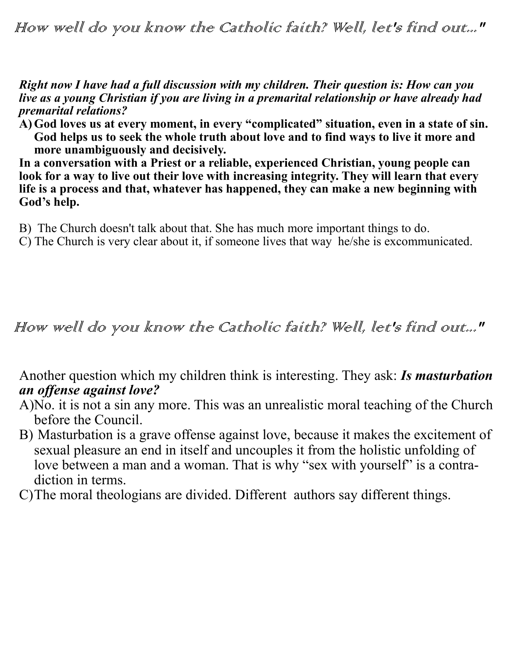*Right now I have had a full discussion with my children. Their question is: How can you live as a young Christian if you are living in a premarital relationship or have already had premarital relations?*

**A)God loves us at every moment, in every "complicated" situation, even in a state of sin. God helps us to seek the whole truth about love and to find ways to live it more and more unambiguously and decisively.** 

**In a conversation with a Priest or a reliable, experienced Christian, young people can look for a way to live out their love with increasing integrity. They will learn that every life is a process and that, whatever has happened, they can make a new beginning with God's help.**

- B) The Church doesn't talk about that. She has much more important things to do.
- C) The Church is very clear about it, if someone lives that way he/she is excommunicated.

How well do you know the Catholic faith? Well, let's find out..."

Another question which my children think is interesting. They ask: *Is masturbation an offense against love?*

- A)No. it is not a sin any more. This was an unrealistic moral teaching of the Church before the Council.
- B) Masturbation is a grave offense against love, because it makes the excitement of sexual pleasure an end in itself and uncouples it from the holistic unfolding of love between a man and a woman. That is why "sex with yourself" is a contradiction in terms.
- C)The moral theologians are divided. Different authors say different things.